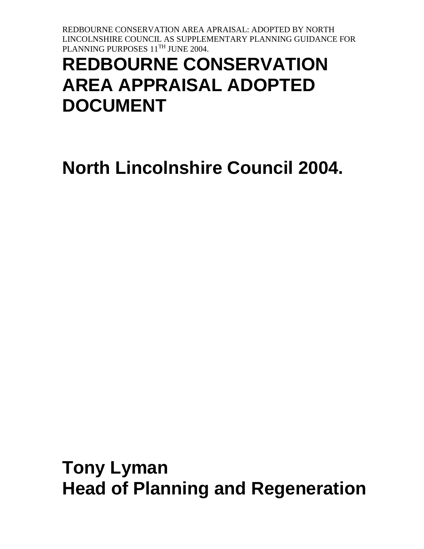# **REDBOURNE CONSERVATION AREA APPRAISAL ADOPTED DOCUMENT**

# **North Lincolnshire Council 2004.**

**Tony Lyman Head of Planning and Regeneration**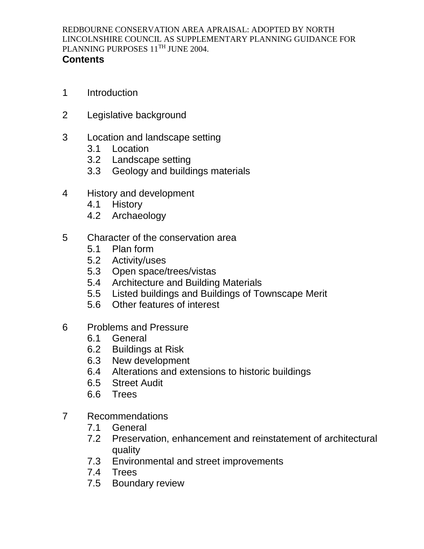#### **Contents**

- 1 Introduction
- 2 Legislative background
- 3 Location and landscape setting
	- 3.1 Location
	- 3.2 Landscape setting
	- 3.3 Geology and buildings materials
- 4 History and development
	- 4.1 History
	- 4.2 Archaeology
- 5 Character of the conservation area
	- 5.1 Plan form
	- 5.2 Activity/uses
	- 5.3 Open space/trees/vistas
	- 5.4 Architecture and Building Materials
	- 5.5 Listed buildings and Buildings of Townscape Merit
	- 5.6 Other features of interest
- 6 Problems and Pressure
	- 6.1 General
	- 6.2 Buildings at Risk
	- 6.3 New development
	- 6.4 Alterations and extensions to historic buildings
	- 6.5 Street Audit
	- 6.6 Trees
- 7 Recommendations
	- 7.1 General
	- 7.2 Preservation, enhancement and reinstatement of architectural quality
	- 7.3 Environmental and street improvements
	- 7.4 Trees
	- 7.5 Boundary review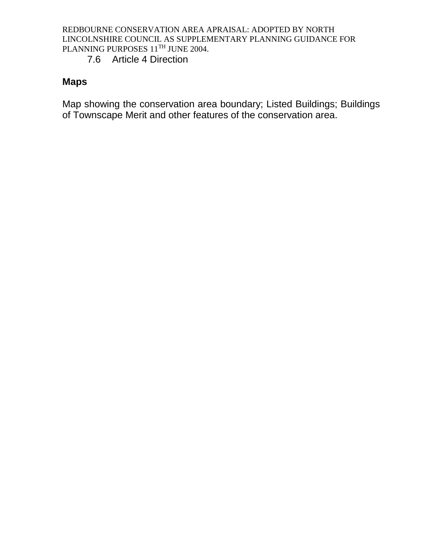7.6 Article 4 Direction

# **Maps**

Map showing the conservation area boundary; Listed Buildings; Buildings of Townscape Merit and other features of the conservation area.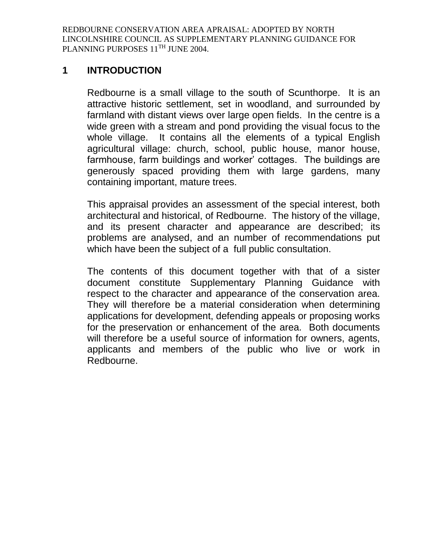#### **1 INTRODUCTION**

Redbourne is a small village to the south of Scunthorpe. It is an attractive historic settlement, set in woodland, and surrounded by farmland with distant views over large open fields. In the centre is a wide green with a stream and pond providing the visual focus to the whole village. It contains all the elements of a typical English agricultural village: church, school, public house, manor house, farmhouse, farm buildings and worker' cottages. The buildings are generously spaced providing them with large gardens, many containing important, mature trees.

This appraisal provides an assessment of the special interest, both architectural and historical, of Redbourne. The history of the village, and its present character and appearance are described; its problems are analysed, and an number of recommendations put which have been the subject of a full public consultation.

The contents of this document together with that of a sister document constitute Supplementary Planning Guidance with respect to the character and appearance of the conservation area. They will therefore be a material consideration when determining applications for development, defending appeals or proposing works for the preservation or enhancement of the area. Both documents will therefore be a useful source of information for owners, agents, applicants and members of the public who live or work in Redbourne.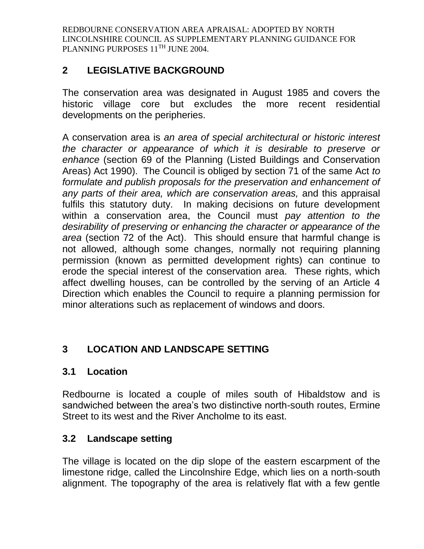# **2 LEGISLATIVE BACKGROUND**

The conservation area was designated in August 1985 and covers the historic village core but excludes the more recent residential developments on the peripheries.

A conservation area is *an area of special architectural or historic interest the character or appearance of which it is desirable to preserve or enhance* (section 69 of the Planning (Listed Buildings and Conservation Areas) Act 1990). The Council is obliged by section 71 of the same Act *to formulate and publish proposals for the preservation and enhancement of any parts of their area, which are conservation areas,* and this appraisal fulfils this statutory duty. In making decisions on future development within a conservation area, the Council must *pay attention to the desirability of preserving or enhancing the character or appearance of the area* (section 72 of the Act). This should ensure that harmful change is not allowed, although some changes, normally not requiring planning permission (known as permitted development rights) can continue to erode the special interest of the conservation area. These rights, which affect dwelling houses, can be controlled by the serving of an Article 4 Direction which enables the Council to require a planning permission for minor alterations such as replacement of windows and doors.

# **3 LOCATION AND LANDSCAPE SETTING**

#### **3.1 Location**

Redbourne is located a couple of miles south of Hibaldstow and is sandwiched between the area's two distinctive north-south routes, Ermine Street to its west and the River Ancholme to its east.

# **3.2 Landscape setting**

The village is located on the dip slope of the eastern escarpment of the limestone ridge, called the Lincolnshire Edge, which lies on a north-south alignment. The topography of the area is relatively flat with a few gentle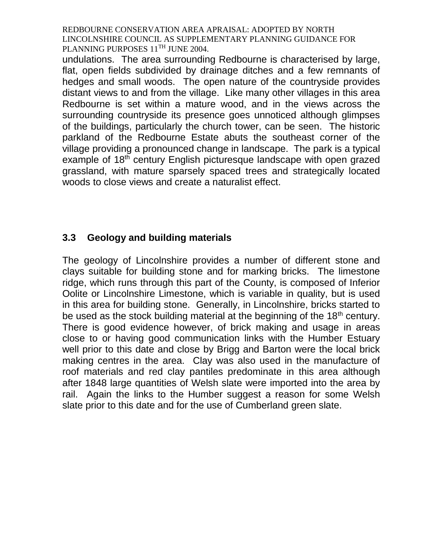undulations. The area surrounding Redbourne is characterised by large, flat, open fields subdivided by drainage ditches and a few remnants of hedges and small woods. The open nature of the countryside provides distant views to and from the village. Like many other villages in this area Redbourne is set within a mature wood, and in the views across the surrounding countryside its presence goes unnoticed although glimpses of the buildings, particularly the church tower, can be seen. The historic parkland of the Redbourne Estate abuts the southeast corner of the village providing a pronounced change in landscape. The park is a typical example of 18<sup>th</sup> century English picturesque landscape with open grazed grassland, with mature sparsely spaced trees and strategically located woods to close views and create a naturalist effect.

# **3.3 Geology and building materials**

The geology of Lincolnshire provides a number of different stone and clays suitable for building stone and for marking bricks. The limestone ridge, which runs through this part of the County, is composed of Inferior Oolite or Lincolnshire Limestone, which is variable in quality, but is used in this area for building stone. Generally, in Lincolnshire, bricks started to be used as the stock building material at the beginning of the  $18<sup>th</sup>$  century. There is good evidence however, of brick making and usage in areas close to or having good communication links with the Humber Estuary well prior to this date and close by Brigg and Barton were the local brick making centres in the area. Clay was also used in the manufacture of roof materials and red clay pantiles predominate in this area although after 1848 large quantities of Welsh slate were imported into the area by rail. Again the links to the Humber suggest a reason for some Welsh slate prior to this date and for the use of Cumberland green slate.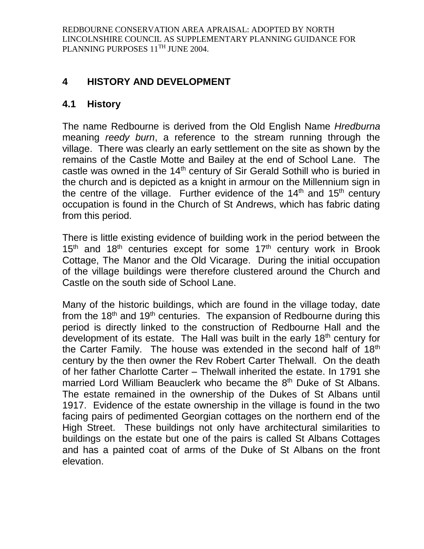# **4 HISTORY AND DEVELOPMENT**

## **4.1 History**

The name Redbourne is derived from the Old English Name *Hredburna* meaning *reedy burn*, a reference to the stream running through the village. There was clearly an early settlement on the site as shown by the remains of the Castle Motte and Bailey at the end of School Lane. The castle was owned in the  $14<sup>th</sup>$  century of Sir Gerald Sothill who is buried in the church and is depicted as a knight in armour on the Millennium sign in the centre of the village. Further evidence of the  $14<sup>th</sup>$  and  $15<sup>th</sup>$  century occupation is found in the Church of St Andrews, which has fabric dating from this period.

There is little existing evidence of building work in the period between the  $15<sup>th</sup>$  and  $18<sup>th</sup>$  centuries except for some  $17<sup>th</sup>$  century work in Brook Cottage, The Manor and the Old Vicarage. During the initial occupation of the village buildings were therefore clustered around the Church and Castle on the south side of School Lane.

Many of the historic buildings, which are found in the village today, date from the 18<sup>th</sup> and 19<sup>th</sup> centuries. The expansion of Redbourne during this period is directly linked to the construction of Redbourne Hall and the development of its estate. The Hall was built in the early 18<sup>th</sup> century for the Carter Family. The house was extended in the second half of 18<sup>th</sup> century by the then owner the Rev Robert Carter Thelwall. On the death of her father Charlotte Carter – Thelwall inherited the estate. In 1791 she married Lord William Beauclerk who became the 8<sup>th</sup> Duke of St Albans. The estate remained in the ownership of the Dukes of St Albans until 1917. Evidence of the estate ownership in the village is found in the two facing pairs of pedimented Georgian cottages on the northern end of the High Street. These buildings not only have architectural similarities to buildings on the estate but one of the pairs is called St Albans Cottages and has a painted coat of arms of the Duke of St Albans on the front elevation.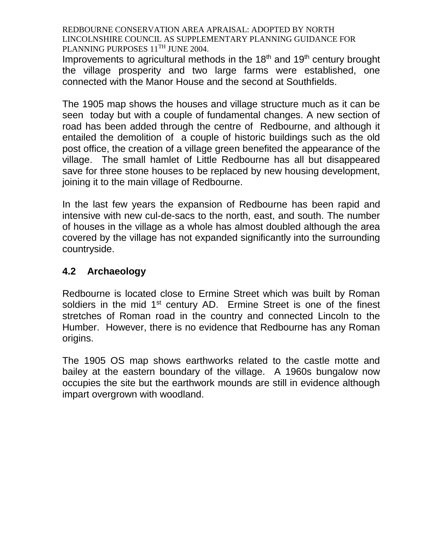Improvements to agricultural methods in the  $18<sup>th</sup>$  and  $19<sup>th</sup>$  century brought the village prosperity and two large farms were established, one connected with the Manor House and the second at Southfields.

The 1905 map shows the houses and village structure much as it can be seen today but with a couple of fundamental changes. A new section of road has been added through the centre of Redbourne, and although it entailed the demolition of a couple of historic buildings such as the old post office, the creation of a village green benefited the appearance of the village. The small hamlet of Little Redbourne has all but disappeared save for three stone houses to be replaced by new housing development, joining it to the main village of Redbourne.

In the last few years the expansion of Redbourne has been rapid and intensive with new cul-de-sacs to the north, east, and south. The number of houses in the village as a whole has almost doubled although the area covered by the village has not expanded significantly into the surrounding countryside.

# **4.2 Archaeology**

Redbourne is located close to Ermine Street which was built by Roman soldiers in the mid  $1<sup>st</sup>$  century AD. Ermine Street is one of the finest stretches of Roman road in the country and connected Lincoln to the Humber. However, there is no evidence that Redbourne has any Roman origins.

The 1905 OS map shows earthworks related to the castle motte and bailey at the eastern boundary of the village. A 1960s bungalow now occupies the site but the earthwork mounds are still in evidence although impart overgrown with woodland.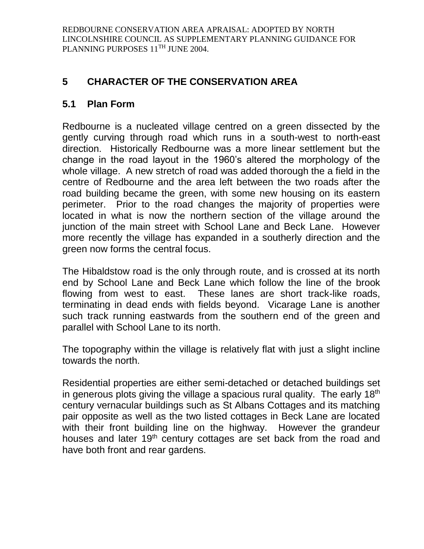# **5 CHARACTER OF THE CONSERVATION AREA**

# **5.1 Plan Form**

Redbourne is a nucleated village centred on a green dissected by the gently curving through road which runs in a south-west to north-east direction. Historically Redbourne was a more linear settlement but the change in the road layout in the 1960's altered the morphology of the whole village. A new stretch of road was added thorough the a field in the centre of Redbourne and the area left between the two roads after the road building became the green, with some new housing on its eastern perimeter. Prior to the road changes the majority of properties were located in what is now the northern section of the village around the junction of the main street with School Lane and Beck Lane. However more recently the village has expanded in a southerly direction and the green now forms the central focus.

The Hibaldstow road is the only through route, and is crossed at its north end by School Lane and Beck Lane which follow the line of the brook flowing from west to east. These lanes are short track-like roads, terminating in dead ends with fields beyond. Vicarage Lane is another such track running eastwards from the southern end of the green and parallel with School Lane to its north.

The topography within the village is relatively flat with just a slight incline towards the north.

Residential properties are either semi-detached or detached buildings set in generous plots giving the village a spacious rural quality. The early  $18<sup>th</sup>$ century vernacular buildings such as St Albans Cottages and its matching pair opposite as well as the two listed cottages in Beck Lane are located with their front building line on the highway. However the grandeur houses and later 19<sup>th</sup> century cottages are set back from the road and have both front and rear gardens.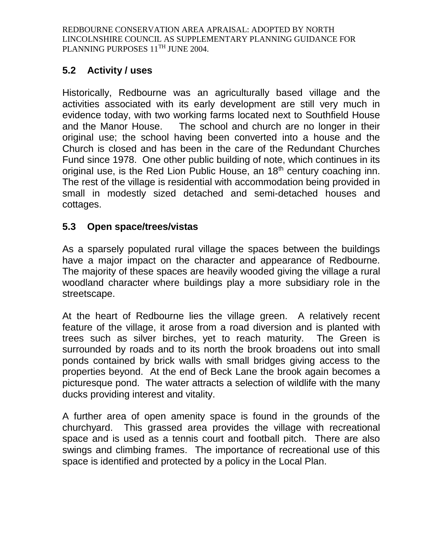# **5.2 Activity / uses**

Historically, Redbourne was an agriculturally based village and the activities associated with its early development are still very much in evidence today, with two working farms located next to Southfield House and the Manor House. The school and church are no longer in their original use; the school having been converted into a house and the Church is closed and has been in the care of the Redundant Churches Fund since 1978. One other public building of note, which continues in its original use, is the Red Lion Public House, an 18<sup>th</sup> century coaching inn. The rest of the village is residential with accommodation being provided in small in modestly sized detached and semi-detached houses and cottages.

# **5.3 Open space/trees/vistas**

As a sparsely populated rural village the spaces between the buildings have a major impact on the character and appearance of Redbourne. The majority of these spaces are heavily wooded giving the village a rural woodland character where buildings play a more subsidiary role in the streetscape.

At the heart of Redbourne lies the village green. A relatively recent feature of the village, it arose from a road diversion and is planted with trees such as silver birches, yet to reach maturity. The Green is surrounded by roads and to its north the brook broadens out into small ponds contained by brick walls with small bridges giving access to the properties beyond. At the end of Beck Lane the brook again becomes a picturesque pond. The water attracts a selection of wildlife with the many ducks providing interest and vitality.

A further area of open amenity space is found in the grounds of the churchyard. This grassed area provides the village with recreational space and is used as a tennis court and football pitch. There are also swings and climbing frames. The importance of recreational use of this space is identified and protected by a policy in the Local Plan.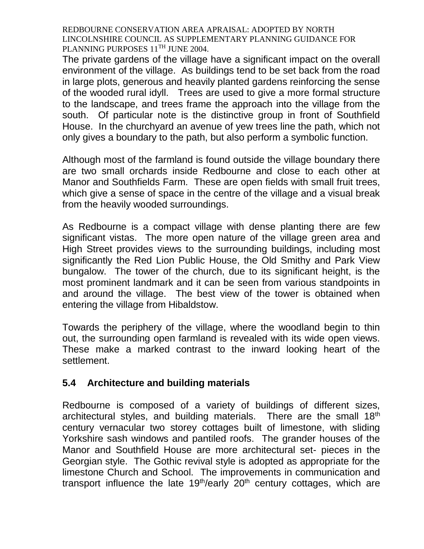The private gardens of the village have a significant impact on the overall environment of the village. As buildings tend to be set back from the road in large plots, generous and heavily planted gardens reinforcing the sense of the wooded rural idyll. Trees are used to give a more formal structure to the landscape, and trees frame the approach into the village from the south. Of particular note is the distinctive group in front of Southfield House. In the churchyard an avenue of yew trees line the path, which not only gives a boundary to the path, but also perform a symbolic function.

Although most of the farmland is found outside the village boundary there are two small orchards inside Redbourne and close to each other at Manor and Southfields Farm. These are open fields with small fruit trees, which give a sense of space in the centre of the village and a visual break from the heavily wooded surroundings.

As Redbourne is a compact village with dense planting there are few significant vistas. The more open nature of the village green area and High Street provides views to the surrounding buildings, including most significantly the Red Lion Public House, the Old Smithy and Park View bungalow. The tower of the church, due to its significant height, is the most prominent landmark and it can be seen from various standpoints in and around the village. The best view of the tower is obtained when entering the village from Hibaldstow.

Towards the periphery of the village, where the woodland begin to thin out, the surrounding open farmland is revealed with its wide open views. These make a marked contrast to the inward looking heart of the settlement.

# **5.4 Architecture and building materials**

Redbourne is composed of a variety of buildings of different sizes, architectural styles, and building materials. There are the small 18<sup>th</sup> century vernacular two storey cottages built of limestone, with sliding Yorkshire sash windows and pantiled roofs. The grander houses of the Manor and Southfield House are more architectural set- pieces in the Georgian style. The Gothic revival style is adopted as appropriate for the limestone Church and School. The improvements in communication and transport influence the late  $19<sup>th</sup>/early$   $20<sup>th</sup>$  century cottages, which are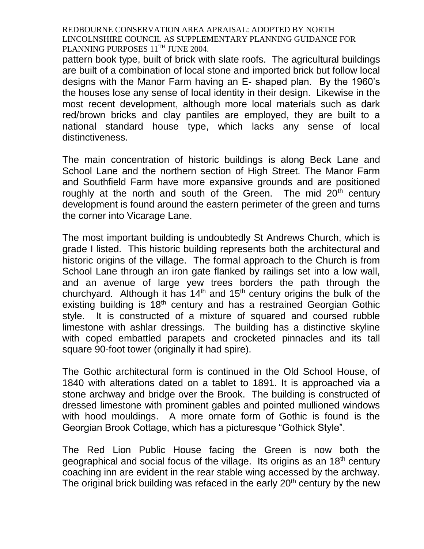pattern book type, built of brick with slate roofs. The agricultural buildings are built of a combination of local stone and imported brick but follow local designs with the Manor Farm having an E- shaped plan. By the 1960's the houses lose any sense of local identity in their design. Likewise in the most recent development, although more local materials such as dark red/brown bricks and clay pantiles are employed, they are built to a national standard house type, which lacks any sense of local distinctiveness.

The main concentration of historic buildings is along Beck Lane and School Lane and the northern section of High Street. The Manor Farm and Southfield Farm have more expansive grounds and are positioned roughly at the north and south of the Green. The mid  $20<sup>th</sup>$  century development is found around the eastern perimeter of the green and turns the corner into Vicarage Lane.

The most important building is undoubtedly St Andrews Church, which is grade I listed. This historic building represents both the architectural and historic origins of the village. The formal approach to the Church is from School Lane through an iron gate flanked by railings set into a low wall, and an avenue of large yew trees borders the path through the churchyard. Although it has  $14<sup>th</sup>$  and  $15<sup>th</sup>$  century origins the bulk of the existing building is 18<sup>th</sup> century and has a restrained Georgian Gothic style. It is constructed of a mixture of squared and coursed rubble limestone with ashlar dressings. The building has a distinctive skyline with coped embattled parapets and crocketed pinnacles and its tall square 90-foot tower (originally it had spire).

The Gothic architectural form is continued in the Old School House, of 1840 with alterations dated on a tablet to 1891. It is approached via a stone archway and bridge over the Brook. The building is constructed of dressed limestone with prominent gables and pointed mullioned windows with hood mouldings. A more ornate form of Gothic is found is the Georgian Brook Cottage, which has a picturesque "Gothick Style".

The Red Lion Public House facing the Green is now both the geographical and social focus of the village. Its origins as an 18th century coaching inn are evident in the rear stable wing accessed by the archway. The original brick building was refaced in the early  $20<sup>th</sup>$  century by the new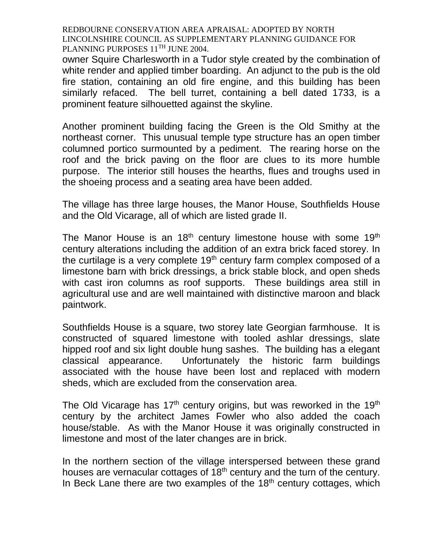owner Squire Charlesworth in a Tudor style created by the combination of white render and applied timber boarding. An adjunct to the pub is the old fire station, containing an old fire engine, and this building has been similarly refaced. The bell turret, containing a bell dated 1733, is a prominent feature silhouetted against the skyline.

Another prominent building facing the Green is the Old Smithy at the northeast corner. This unusual temple type structure has an open timber columned portico surmounted by a pediment. The rearing horse on the roof and the brick paving on the floor are clues to its more humble purpose. The interior still houses the hearths, flues and troughs used in the shoeing process and a seating area have been added.

The village has three large houses, the Manor House, Southfields House and the Old Vicarage, all of which are listed grade II.

The Manor House is an  $18<sup>th</sup>$  century limestone house with some  $19<sup>th</sup>$ century alterations including the addition of an extra brick faced storey. In the curtilage is a very complete  $19<sup>th</sup>$  century farm complex composed of a limestone barn with brick dressings, a brick stable block, and open sheds with cast iron columns as roof supports. These buildings area still in agricultural use and are well maintained with distinctive maroon and black paintwork.

Southfields House is a square, two storey late Georgian farmhouse. It is constructed of squared limestone with tooled ashlar dressings, slate hipped roof and six light double hung sashes. The building has a elegant classical appearance. Unfortunately the historic farm buildings associated with the house have been lost and replaced with modern sheds, which are excluded from the conservation area.

The Old Vicarage has  $17<sup>th</sup>$  century origins, but was reworked in the  $19<sup>th</sup>$ century by the architect James Fowler who also added the coach house/stable. As with the Manor House it was originally constructed in limestone and most of the later changes are in brick.

In the northern section of the village interspersed between these grand houses are vernacular cottages of 18<sup>th</sup> century and the turn of the century. In Beck Lane there are two examples of the  $18<sup>th</sup>$  century cottages, which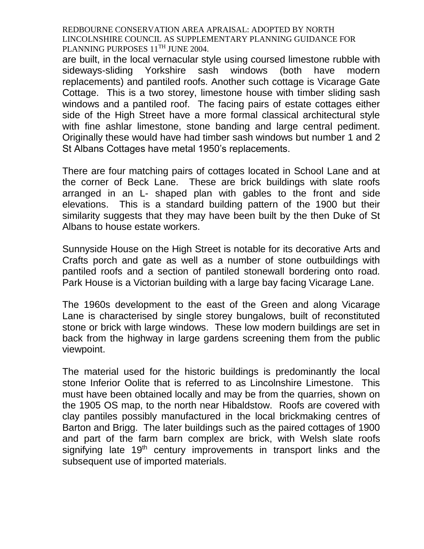are built, in the local vernacular style using coursed limestone rubble with sideways-sliding Yorkshire sash windows (both have modern replacements) and pantiled roofs. Another such cottage is Vicarage Gate Cottage. This is a two storey, limestone house with timber sliding sash windows and a pantiled roof. The facing pairs of estate cottages either side of the High Street have a more formal classical architectural style with fine ashlar limestone, stone banding and large central pediment. Originally these would have had timber sash windows but number 1 and 2 St Albans Cottages have metal 1950's replacements.

There are four matching pairs of cottages located in School Lane and at the corner of Beck Lane. These are brick buildings with slate roofs arranged in an L- shaped plan with gables to the front and side elevations. This is a standard building pattern of the 1900 but their similarity suggests that they may have been built by the then Duke of St Albans to house estate workers.

Sunnyside House on the High Street is notable for its decorative Arts and Crafts porch and gate as well as a number of stone outbuildings with pantiled roofs and a section of pantiled stonewall bordering onto road. Park House is a Victorian building with a large bay facing Vicarage Lane.

The 1960s development to the east of the Green and along Vicarage Lane is characterised by single storey bungalows, built of reconstituted stone or brick with large windows. These low modern buildings are set in back from the highway in large gardens screening them from the public viewpoint.

The material used for the historic buildings is predominantly the local stone Inferior Oolite that is referred to as Lincolnshire Limestone. This must have been obtained locally and may be from the quarries, shown on the 1905 OS map, to the north near Hibaldstow. Roofs are covered with clay pantiles possibly manufactured in the local brickmaking centres of Barton and Brigg. The later buildings such as the paired cottages of 1900 and part of the farm barn complex are brick, with Welsh slate roofs signifying late 19<sup>th</sup> century improvements in transport links and the subsequent use of imported materials.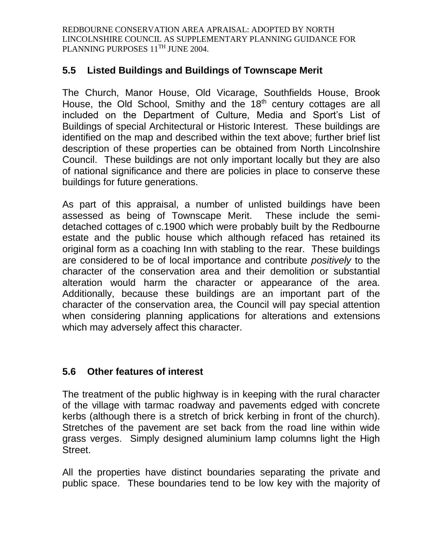## **5.5 Listed Buildings and Buildings of Townscape Merit**

The Church, Manor House, Old Vicarage, Southfields House, Brook House, the Old School, Smithy and the 18<sup>th</sup> century cottages are all included on the Department of Culture, Media and Sport's List of Buildings of special Architectural or Historic Interest. These buildings are identified on the map and described within the text above; further brief list description of these properties can be obtained from North Lincolnshire Council. These buildings are not only important locally but they are also of national significance and there are policies in place to conserve these buildings for future generations.

As part of this appraisal, a number of unlisted buildings have been assessed as being of Townscape Merit. These include the semidetached cottages of c.1900 which were probably built by the Redbourne estate and the public house which although refaced has retained its original form as a coaching Inn with stabling to the rear. These buildings are considered to be of local importance and contribute *positively* to the character of the conservation area and their demolition or substantial alteration would harm the character or appearance of the area. Additionally, because these buildings are an important part of the character of the conservation area, the Council will pay special attention when considering planning applications for alterations and extensions which may adversely affect this character.

# **5.6 Other features of interest**

The treatment of the public highway is in keeping with the rural character of the village with tarmac roadway and pavements edged with concrete kerbs (although there is a stretch of brick kerbing in front of the church). Stretches of the pavement are set back from the road line within wide grass verges. Simply designed aluminium lamp columns light the High Street.

All the properties have distinct boundaries separating the private and public space. These boundaries tend to be low key with the majority of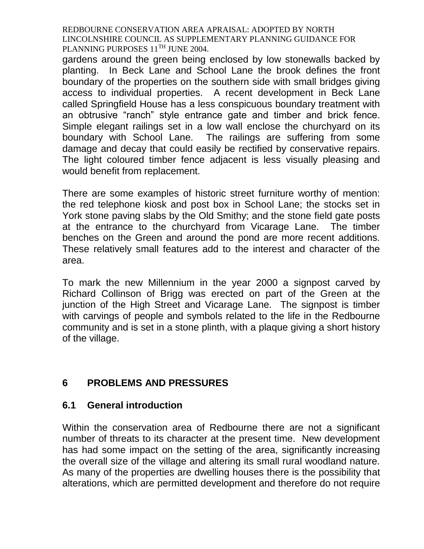gardens around the green being enclosed by low stonewalls backed by planting. In Beck Lane and School Lane the brook defines the front boundary of the properties on the southern side with small bridges giving access to individual properties. A recent development in Beck Lane called Springfield House has a less conspicuous boundary treatment with an obtrusive "ranch" style entrance gate and timber and brick fence. Simple elegant railings set in a low wall enclose the churchyard on its boundary with School Lane. The railings are suffering from some damage and decay that could easily be rectified by conservative repairs. The light coloured timber fence adjacent is less visually pleasing and would benefit from replacement.

There are some examples of historic street furniture worthy of mention: the red telephone kiosk and post box in School Lane; the stocks set in York stone paving slabs by the Old Smithy; and the stone field gate posts at the entrance to the churchyard from Vicarage Lane. The timber benches on the Green and around the pond are more recent additions. These relatively small features add to the interest and character of the area.

To mark the new Millennium in the year 2000 a signpost carved by Richard Collinson of Brigg was erected on part of the Green at the junction of the High Street and Vicarage Lane. The signpost is timber with carvings of people and symbols related to the life in the Redbourne community and is set in a stone plinth, with a plaque giving a short history of the village.

# **6 PROBLEMS AND PRESSURES**

#### **6.1 General introduction**

Within the conservation area of Redbourne there are not a significant number of threats to its character at the present time. New development has had some impact on the setting of the area, significantly increasing the overall size of the village and altering its small rural woodland nature. As many of the properties are dwelling houses there is the possibility that alterations, which are permitted development and therefore do not require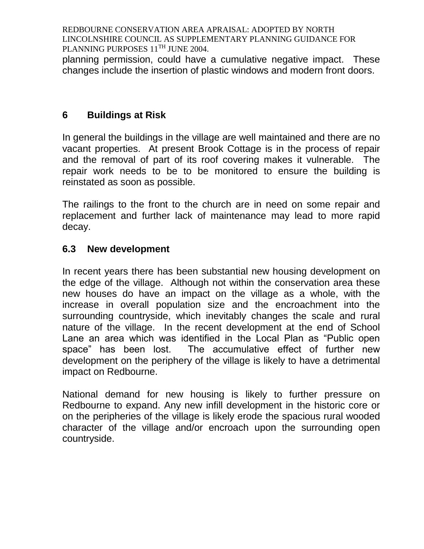planning permission, could have a cumulative negative impact. These changes include the insertion of plastic windows and modern front doors.

# **6 Buildings at Risk**

In general the buildings in the village are well maintained and there are no vacant properties. At present Brook Cottage is in the process of repair and the removal of part of its roof covering makes it vulnerable. The repair work needs to be to be monitored to ensure the building is reinstated as soon as possible.

The railings to the front to the church are in need on some repair and replacement and further lack of maintenance may lead to more rapid decay.

## **6.3 New development**

In recent years there has been substantial new housing development on the edge of the village. Although not within the conservation area these new houses do have an impact on the village as a whole, with the increase in overall population size and the encroachment into the surrounding countryside, which inevitably changes the scale and rural nature of the village. In the recent development at the end of School Lane an area which was identified in the Local Plan as "Public open space" has been lost. The accumulative effect of further new development on the periphery of the village is likely to have a detrimental impact on Redbourne.

National demand for new housing is likely to further pressure on Redbourne to expand. Any new infill development in the historic core or on the peripheries of the village is likely erode the spacious rural wooded character of the village and/or encroach upon the surrounding open countryside.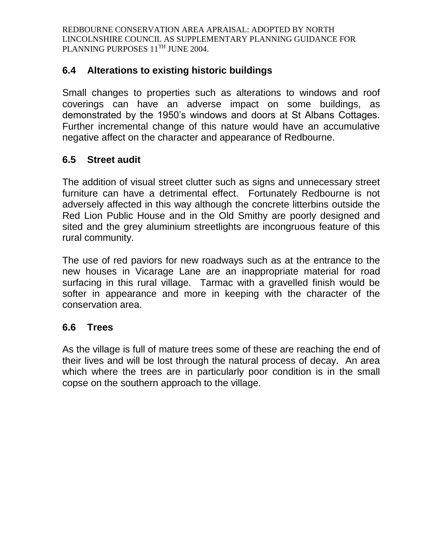## **6.4 Alterations to existing historic buildings**

Small changes to properties such as alterations to windows and roof coverings can have an adverse impact on some buildings, as demonstrated by the 1950's windows and doors at St Albans Cottages. Further incremental change of this nature would have an accumulative negative affect on the character and appearance of Redbourne.

## **6.5 Street audit**

The addition of visual street clutter such as signs and unnecessary street furniture can have a detrimental effect. Fortunately Redbourne is not adversely affected in this way although the concrete litterbins outside the Red Lion Public House and in the Old Smithy are poorly designed and sited and the grey aluminium streetlights are incongruous feature of this rural community.

The use of red paviors for new roadways such as at the entrance to the new houses in Vicarage Lane are an inappropriate material for road surfacing in this rural village. Tarmac with a gravelled finish would be softer in appearance and more in keeping with the character of the conservation area.

# **6.6 Trees**

As the village is full of mature trees some of these are reaching the end of their lives and will be lost through the natural process of decay. An area which where the trees are in particularly poor condition is in the small copse on the southern approach to the village.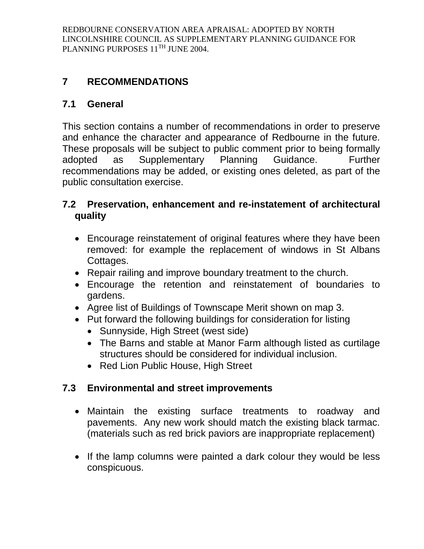# **7 RECOMMENDATIONS**

# **7.1 General**

This section contains a number of recommendations in order to preserve and enhance the character and appearance of Redbourne in the future. These proposals will be subject to public comment prior to being formally adopted as Supplementary Planning Guidance. Further recommendations may be added, or existing ones deleted, as part of the public consultation exercise.

## **7.2 Preservation, enhancement and re-instatement of architectural quality**

- Encourage reinstatement of original features where they have been removed: for example the replacement of windows in St Albans Cottages.
- Repair railing and improve boundary treatment to the church.
- Encourage the retention and reinstatement of boundaries to gardens.
- Agree list of Buildings of Townscape Merit shown on map 3.
- Put forward the following buildings for consideration for listing
	- Sunnyside, High Street (west side)
	- The Barns and stable at Manor Farm although listed as curtilage structures should be considered for individual inclusion.
	- Red Lion Public House, High Street

# **7.3 Environmental and street improvements**

- Maintain the existing surface treatments to roadway and pavements. Any new work should match the existing black tarmac. (materials such as red brick paviors are inappropriate replacement)
- If the lamp columns were painted a dark colour they would be less conspicuous.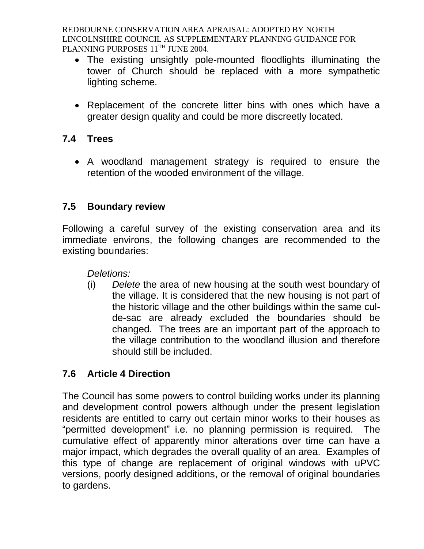- The existing unsightly pole-mounted floodlights illuminating the tower of Church should be replaced with a more sympathetic lighting scheme.
- Replacement of the concrete litter bins with ones which have a greater design quality and could be more discreetly located.

## **7.4 Trees**

 A woodland management strategy is required to ensure the retention of the wooded environment of the village.

## **7.5 Boundary review**

Following a careful survey of the existing conservation area and its immediate environs, the following changes are recommended to the existing boundaries:

*Deletions:*

(i) *Delete* the area of new housing at the south west boundary of the village. It is considered that the new housing is not part of the historic village and the other buildings within the same culde-sac are already excluded the boundaries should be changed. The trees are an important part of the approach to the village contribution to the woodland illusion and therefore should still be included.

# **7.6 Article 4 Direction**

The Council has some powers to control building works under its planning and development control powers although under the present legislation residents are entitled to carry out certain minor works to their houses as "permitted development" i.e. no planning permission is required. The cumulative effect of apparently minor alterations over time can have a major impact, which degrades the overall quality of an area. Examples of this type of change are replacement of original windows with uPVC versions, poorly designed additions, or the removal of original boundaries to gardens.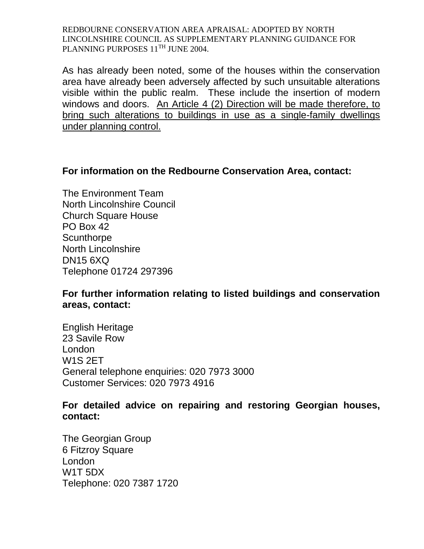As has already been noted, some of the houses within the conservation area have already been adversely affected by such unsuitable alterations visible within the public realm. These include the insertion of modern windows and doors. An Article 4 (2) Direction will be made therefore, to bring such alterations to buildings in use as a single-family dwellings under planning control.

#### **For information on the Redbourne Conservation Area, contact:**

The Environment Team North Lincolnshire Council Church Square House PO Box 42 **Scunthorpe** North Lincolnshire DN15 6XQ Telephone 01724 297396

## **For further information relating to listed buildings and conservation areas, contact:**

English Heritage 23 Savile Row London W1S 2ET General telephone enquiries: 020 7973 3000 Customer Services: 020 7973 4916

#### **For detailed advice on repairing and restoring Georgian houses, contact:**

The Georgian Group 6 Fitzroy Square London W1T 5DX Telephone: 020 7387 1720